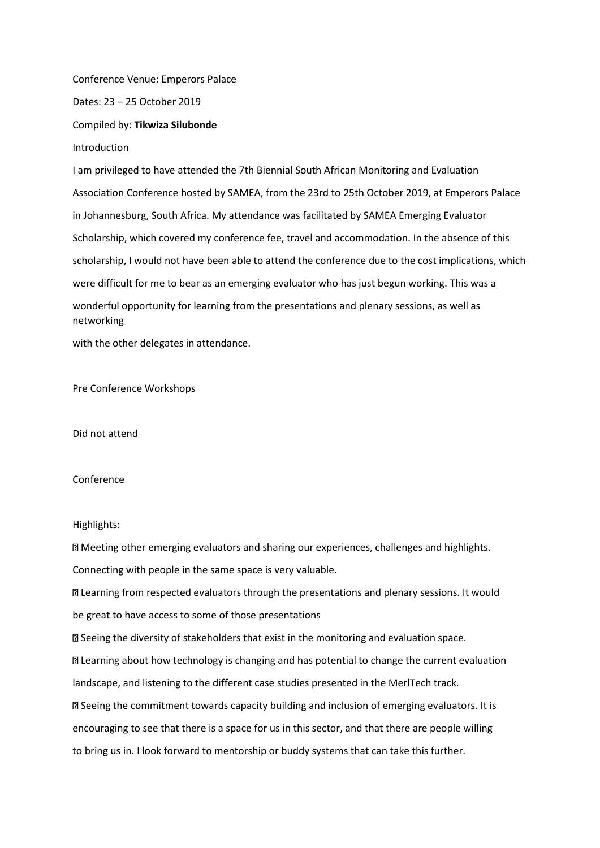Conference Venue: Emperors Palace

Dates: 23 – 25 October 2019

Compiled by: **Tikwiza Silubonde**

Introduction

I am privileged to have attended the 7th Biennial South African Monitoring and Evaluation Association Conference hosted by SAMEA, from the 23rd to 25th October 2019, at Emperors Palace in Johannesburg, South Africa. My attendance was facilitated by SAMEA Emerging Evaluator Scholarship, which covered my conference fee, travel and accommodation. In the absence of this scholarship, I would not have been able to attend the conference due to the cost implications, which were difficult for me to bear as an emerging evaluator who has just begun working. This was a wonderful opportunity for learning from the presentations and plenary sessions, as well as networking

with the other delegates in attendance.

Pre Conference Workshops

Did not attend

## Conference

## Highlights:

Meeting other emerging evaluators and sharing our experiences, challenges and highlights.

Connecting with people in the same space is very valuable.

Learning from respected evaluators through the presentations and plenary sessions. It would be great to have access to some of those presentations

Seeing the diversity of stakeholders that exist in the monitoring and evaluation space.

Learning about how technology is changing and has potential to change the current evaluation landscape, and listening to the different case studies presented in the MerlTech track.

Seeing the commitment towards capacity building and inclusion of emerging evaluators. It is encouraging to see that there is a space for us in this sector, and that there are people willing to bring us in. I look forward to mentorship or buddy systems that can take this further.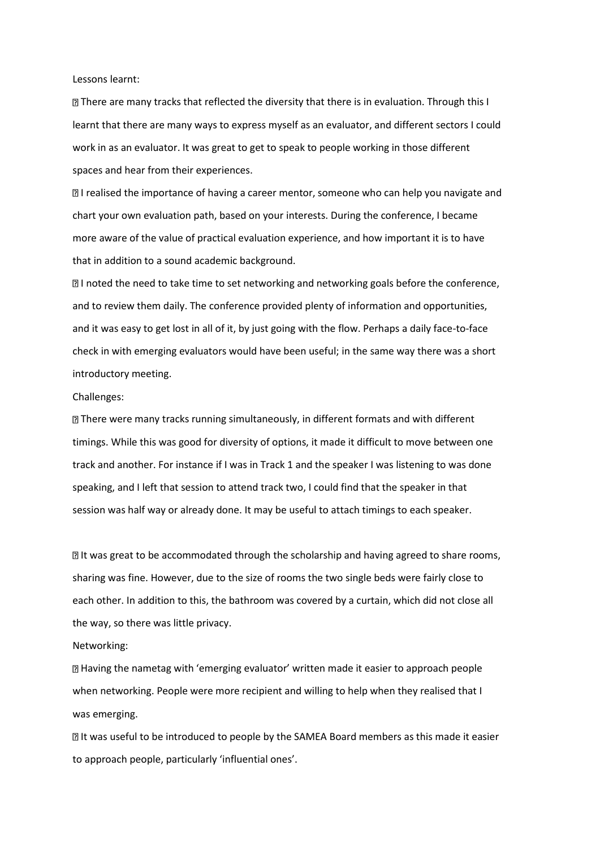Lessons learnt:

There are many tracks that reflected the diversity that there is in evaluation. Through this I learnt that there are many ways to express myself as an evaluator, and different sectors I could work in as an evaluator. It was great to get to speak to people working in those different spaces and hear from their experiences.

**I** realised the importance of having a career mentor, someone who can help you navigate and chart your own evaluation path, based on your interests. During the conference, I became more aware of the value of practical evaluation experience, and how important it is to have that in addition to a sound academic background.

**I** noted the need to take time to set networking and networking goals before the conference, and to review them daily. The conference provided plenty of information and opportunities, and it was easy to get lost in all of it, by just going with the flow. Perhaps a daily face-to-face check in with emerging evaluators would have been useful; in the same way there was a short introductory meeting.

## Challenges:

There were many tracks running simultaneously, in different formats and with different timings. While this was good for diversity of options, it made it difficult to move between one track and another. For instance if I was in Track 1 and the speaker I was listening to was done speaking, and I left that session to attend track two, I could find that the speaker in that session was half way or already done. It may be useful to attach timings to each speaker.

**If was great to be accommodated through the scholarship and having agreed to share rooms,** sharing was fine. However, due to the size of rooms the two single beds were fairly close to each other. In addition to this, the bathroom was covered by a curtain, which did not close all the way, so there was little privacy.

Networking:

Having the nametag with 'emerging evaluator' written made it easier to approach people when networking. People were more recipient and willing to help when they realised that I was emerging.

It was useful to be introduced to people by the SAMEA Board members as this made it easier to approach people, particularly 'influential ones'.